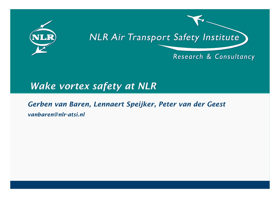

# **NLR Air Transport Safety Institute**

Research & Consultancy

# *Wake vortex safety at NLR*

#### *Gerben van Baren, Lennaert Speijker, Peter van der Geest*

*vanbaren@nlr-atsi.nl*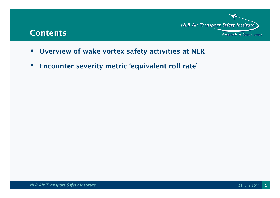#### **Contents**



- **Overview of wake vortex safety activities at NLR**
- $\bullet$ **Encounter severity metric 'equivalent roll rate'**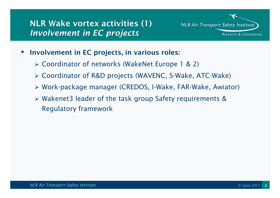## **NLR Wake vortex activities (1)***Involvement in EC projects*

**NLR Air Transport Safety Institute** Research & Consultancy

- $\bullet$  **Involvement in EC projects, in various roles:**
	- *Coordinator of networks (WakeNet Europe 1 & 2)*
	- *Coordinator of R&D projects (WAVENC, S-Wake, ATC-Wake)*
	- *Work-package manager (CREDOS, I-Wake, FAR-Wake, Awiator)*
	- *Wakenet3 leader of the task group Safety requirements & Regulatory framework*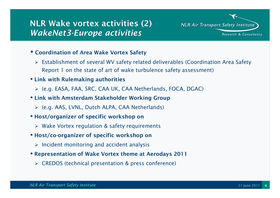## **NLR Wake vortex activities (2)** *WakeNet3-Europe activities*

**NLR Air Transport Safety Institute** Research & Consultancy

- **Coordination of Area Wake Vortex Safety**
	- *Establishment of several WV safety related deliverables (Coordination Area Safety Report 1 on the state of art of wake turbulence safety assessment)*
- **Link with Rulemaking authorities** 
	- *(e.g. EASA, FAA, SRC, CAA UK, CAA Netherlands, FOCA, DGAC)*
- **Link with Amsterdam Stakeholder Working Group**
	- *(e.g. AAS, LVNL, Dutch ALPA, CAA Netherlands)*
- **Host/organizer of specific workshop on** 
	- *Wake Vortex regulation & safety requirements*
- **Host/co-organizer of specific workshop on**
	- *Incident monitoring and accident analysis*
- **Representation of Wake Vortex theme at Aerodays <sup>2011</sup>**
	- *CREDOS (technical presentation & press conference)*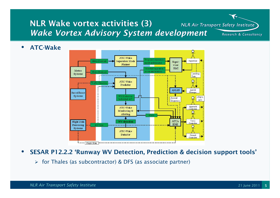#### **NLR Wake vortex activities (3)NLR Air Transport Safety Institute**  *Wake Vortex Advisory System development*Research & Consultancy

 $\bullet$ **ATC-Wake**



 $\bullet$ **SESAR P12.2.2 'Runway WV Detection, Prediction & decision support tools'**

*for Thales (as subcontractor) & DFS (as associate partner)*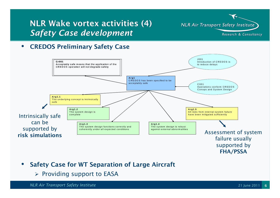#### **NLR Wake vortex activities (4)***Safety Case development*

**NLR Air Transport Safety Institute** 

Research & Consultancy

#### $\bullet$ **CREDOS Preliminary Safety Case**



- $\bullet$  **Safety Case for WT Separation of Large Aircraft**
	- *Providing support to EASA*

*NLR Air Transport Safety Institute*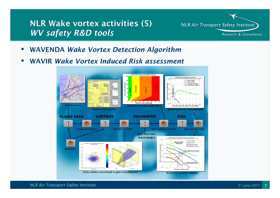#### **NLR Wake vortex activities (5)***WV safety R&D tools*

**NLR Air Transport Safety Institute** Research & Consultancy

- $\bullet$ **WAVENDA** *Wake Vortex Detection Algorithm*
- **WAVIR** *Wake Vortex Induced Risk assessment*•

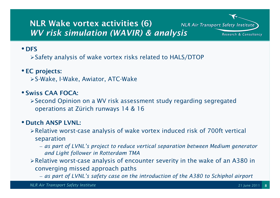## **NLR Wake vortex activities (6)***WV risk simulation (WAVIR) & analysis*

**NLR Air Transport Safety Institute** Research & Consultancy

#### • **DFS**

*Safety analysis of wake vortex risks related to HALS/DTOP* 

#### • **EC projects:**

*S-Wake, I-Wake, Awiator, ATC-Wake*

#### • **Swiss CAA FOCA:**

*Second Opinion on a WV risk assessment study regarding segregated operations at Zürich runways 14 & 16*

## • **Dutch ANSP LVNL:**

- *Relative worst-case analysis of wake vortex induced risk of 700ft vertical separation*
	- as nart *as part of LVNL's project to reduce vertical separation between Medium generator and Light follower in Rotterdam TMA*
- *Relative worst-case analysis of encounter severity in the wake of an A380 in converging missed approach paths*
	- *as part of LVNL's safety case on the introduction of the A380 to Schiphol airport*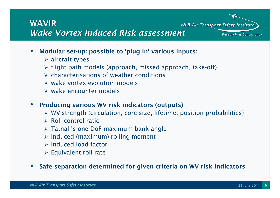# **WAVIR**

*Wake Vortex Induced Risk assessment*

- • **Modular set-up: possible to 'plug in' various inputs:**
	- *aircraft types*
	- *flight path models (approach, missed approach, take-off)*
	- *characterisations of weather conditions*
	- *wake vortex evolution models*
	- *wake encounter models*
- • **Producing various WV risk indicators (outputs)** 
	- *WV strength (circulation, core size, lifetime, position probabilities)*
	- *Roll control ratio*
	- *Tatnall's one DoF maximum bank angle*
	- *Induced (maximum) rolling moment*
	- *Induced load factor*
	- *Equivalent roll rate*
- •**Safe separation determined for given criteria on WV risk indicators**

**NLR Air Transport Safety Institute** 

Research & Consultancy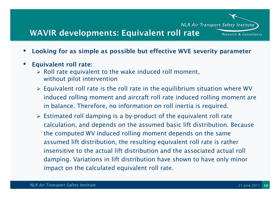### **WAVIR developments: Equivalent roll rate**

- •**Looking for as simple as possible but effective WVE severity parameter**
- •**Equivalent roll rate:** 
	- *Roll rate equivalent to the wake induced roll moment, without pilot intervention*
	- *Equivalent roll rate is the roll rate in the equilibrium situation where WV induced rolling moment and aircraft roll rate induced rolling moment are in balance. Therefore, no information on roll inertia is required.*
	- *Estimated roll damping is a by-product of the equivalent roll rate calculation, and depends on the assumed basic lift distribution. Because the computed WV induced rolling moment depends on the same assumed lift distribution, the resulting equivalent roll rate is rather insensitive to the actual lift distribution and the associated actual roll damping. Variations in lift distribution have shown to have only minor impact on the calculated equivalent roll rate.*

**NLR Air Transport Safety Institute** 

Research & Consultancy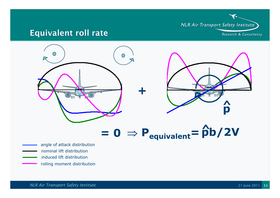

#### **Equivalent roll rate**



- induced lift distribution
	- rolling moment distribution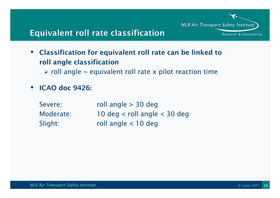

# **Equivalent roll rate classification**

- $\bullet$  **Classification for equivalent roll rate can be linked to roll angle classification**
	- $\triangleright$  roll angle  $\sim$  equivalent roll rate x pilot reaction time
- $\bullet$ **ICAO doc 9426:**

| Severe:   | roll angle $>$ 30 deg            |
|-----------|----------------------------------|
| Moderate: | 10 deg $<$ roll angle $<$ 30 deg |
| Slight:   | roll angle $<$ 10 deg            |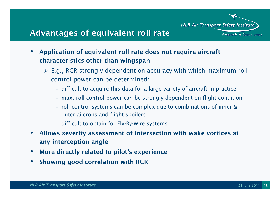**NLR Air Transport Safety Institute** 

Research & Consultancy

#### **Advantages of equivalent roll rate**

- $\bullet$  **Application of equivalent roll rate does not require aircraft characteristics other than wingspan**
	- *E.g., RCR strongly dependent on accuracy with which maximum roll control power can be determined:*
		- *difficult to acquire this data for a large variety of aircraft in practice*
		- *max. roll control power can be strongly dependent on flight condition*
		- *roll control systems can be complex due to combinations of inner & outer ailerons and flight spoilers*
		- *difficult to obtain for Fly-By-Wire systems*
- • **Allows severity assessment of intersection with wake vortices at any interception angle**
- •**More directly related to pilot's experience**
- •**Showing good correlation with RCR**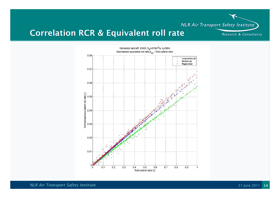**NLR Air Transport Safety Institute** 

Research & Consultancy

## **Correlation RCR & Equivalent roll rate**



*NLR Air Transport Safety Institute*